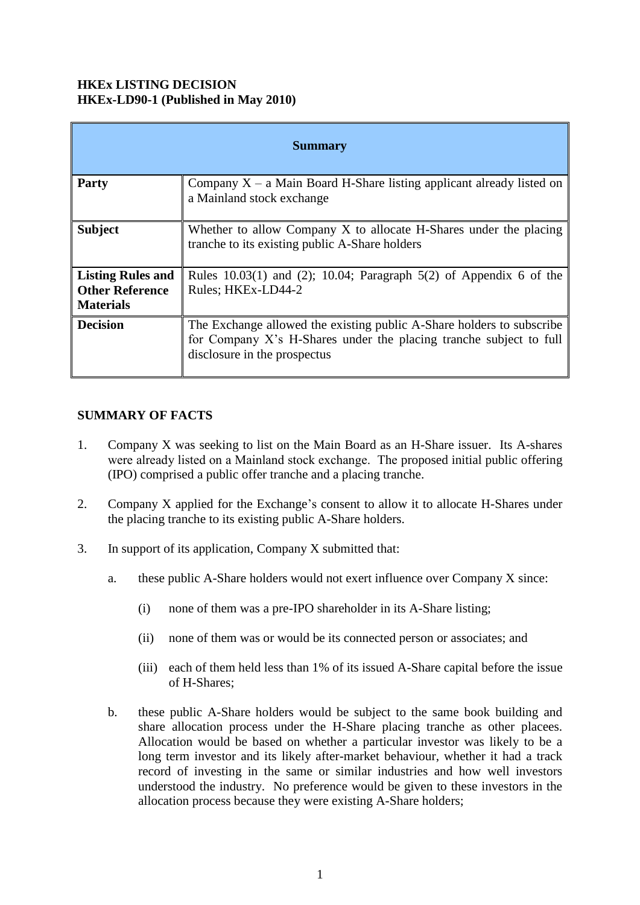### **HKEx LISTING DECISION HKEx-LD90-1 (Published in May 2010)**

| <b>Summary</b>                                                         |                                                                                                                                                                             |
|------------------------------------------------------------------------|-----------------------------------------------------------------------------------------------------------------------------------------------------------------------------|
| <b>Party</b>                                                           | Company $X - a$ Main Board H-Share listing applicant already listed on<br>a Mainland stock exchange                                                                         |
| <b>Subject</b>                                                         | Whether to allow Company X to allocate H-Shares under the placing<br>tranche to its existing public A-Share holders                                                         |
| <b>Listing Rules and</b><br><b>Other Reference</b><br><b>Materials</b> | Rules $10.03(1)$ and (2); 10.04; Paragraph $5(2)$ of Appendix 6 of the<br>Rules: HKEx-LD44-2                                                                                |
| <b>Decision</b>                                                        | The Exchange allowed the existing public A-Share holders to subscribe<br>for Company X's H-Shares under the placing tranche subject to full<br>disclosure in the prospectus |

#### **SUMMARY OF FACTS**

- 1. Company X was seeking to list on the Main Board as an H-Share issuer. Its A-shares were already listed on a Mainland stock exchange. The proposed initial public offering (IPO) comprised a public offer tranche and a placing tranche.
- 2. Company X applied for the Exchange's consent to allow it to allocate H-Shares under the placing tranche to its existing public A-Share holders.
- 3. In support of its application, Company X submitted that:
	- a. these public A-Share holders would not exert influence over Company X since:
		- (i) none of them was a pre-IPO shareholder in its A-Share listing;
		- (ii) none of them was or would be its connected person or associates; and
		- (iii) each of them held less than 1% of its issued A-Share capital before the issue of H-Shares;
	- b. these public A-Share holders would be subject to the same book building and share allocation process under the H-Share placing tranche as other placees. Allocation would be based on whether a particular investor was likely to be a long term investor and its likely after-market behaviour, whether it had a track record of investing in the same or similar industries and how well investors understood the industry. No preference would be given to these investors in the allocation process because they were existing A-Share holders;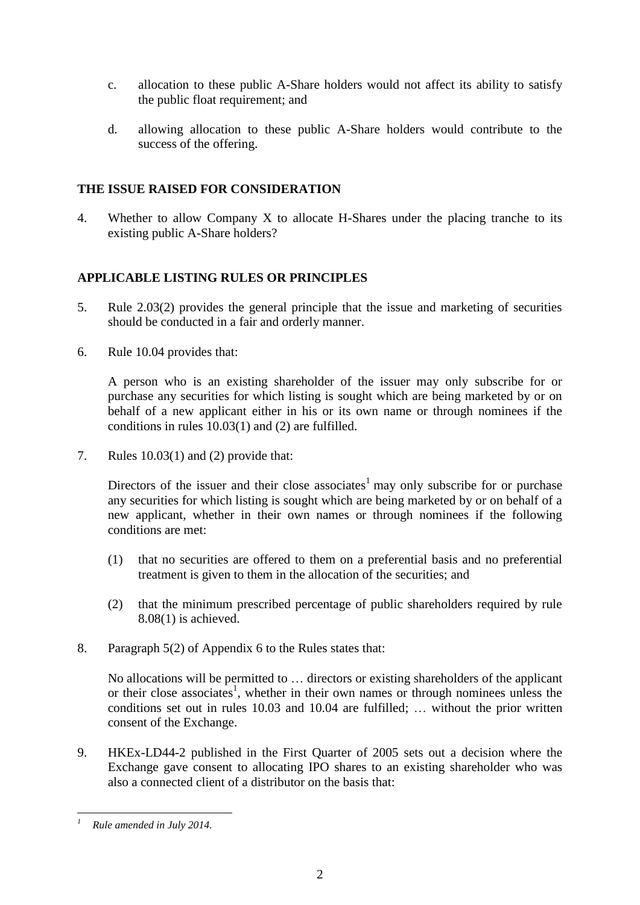- c. allocation to these public A-Share holders would not affect its ability to satisfy the public float requirement; and
- d. allowing allocation to these public A-Share holders would contribute to the success of the offering.

## **THE ISSUE RAISED FOR CONSIDERATION**

4. Whether to allow Company X to allocate H-Shares under the placing tranche to its existing public A-Share holders?

# **APPLICABLE LISTING RULES OR PRINCIPLES**

- 5. Rule 2.03(2) provides the general principle that the issue and marketing of securities should be conducted in a fair and orderly manner.
- 6. Rule 10.04 provides that:

A person who is an existing shareholder of the issuer may only subscribe for or purchase any securities for which listing is sought which are being marketed by or on behalf of a new applicant either in his or its own name or through nominees if the conditions in rules 10.03(1) and (2) are fulfilled.

7. Rules 10.03(1) and (2) provide that:

Directors of the issuer and their close associates<sup>1</sup> may only subscribe for or purchase any securities for which listing is sought which are being marketed by or on behalf of a new applicant, whether in their own names or through nominees if the following conditions are met:

- (1) that no securities are offered to them on a preferential basis and no preferential treatment is given to them in the allocation of the securities; and
- (2) that the minimum prescribed percentage of public shareholders required by rule 8.08(1) is achieved.
- 8. Paragraph 5(2) of Appendix 6 to the Rules states that:

No allocations will be permitted to … directors or existing shareholders of the applicant or their close associates<sup>1</sup>, whether in their own names or through nominees unless the conditions set out in rules 10.03 and 10.04 are fulfilled; … without the prior written consent of the Exchange.

9. HKEx-LD44-2 published in the First Quarter of 2005 sets out a decision where the Exchange gave consent to allocating IPO shares to an existing shareholder who was also a connected client of a distributor on the basis that:

<sup>1</sup> *<sup>1</sup> Rule amended in July 2014.*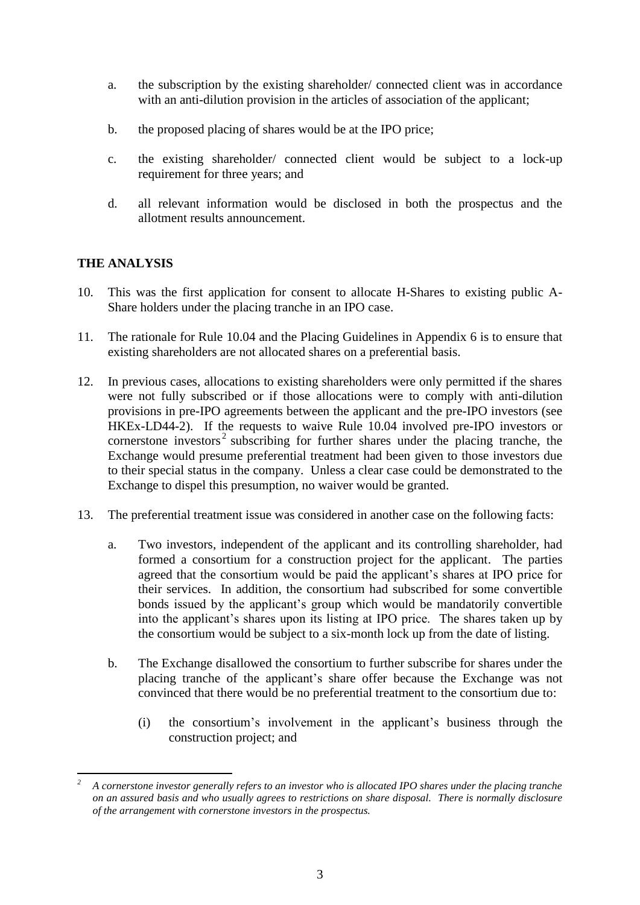- a. the subscription by the existing shareholder/ connected client was in accordance with an anti-dilution provision in the articles of association of the applicant;
- b. the proposed placing of shares would be at the IPO price;
- c. the existing shareholder/ connected client would be subject to a lock-up requirement for three years; and
- d. all relevant information would be disclosed in both the prospectus and the allotment results announcement.

# **THE ANALYSIS**

1

- 10. This was the first application for consent to allocate H-Shares to existing public A-Share holders under the placing tranche in an IPO case.
- 11. The rationale for Rule 10.04 and the Placing Guidelines in Appendix 6 is to ensure that existing shareholders are not allocated shares on a preferential basis.
- 12. In previous cases, allocations to existing shareholders were only permitted if the shares were not fully subscribed or if those allocations were to comply with anti-dilution provisions in pre-IPO agreements between the applicant and the pre-IPO investors (see HKEx-LD44-2). If the requests to waive Rule 10.04 involved pre-IPO investors or cornerstone investors<sup>2</sup> subscribing for further shares under the placing tranche, the Exchange would presume preferential treatment had been given to those investors due to their special status in the company. Unless a clear case could be demonstrated to the Exchange to dispel this presumption, no waiver would be granted.
- 13. The preferential treatment issue was considered in another case on the following facts:
	- a. Two investors, independent of the applicant and its controlling shareholder, had formed a consortium for a construction project for the applicant. The parties agreed that the consortium would be paid the applicant's shares at IPO price for their services. In addition, the consortium had subscribed for some convertible bonds issued by the applicant's group which would be mandatorily convertible into the applicant's shares upon its listing at IPO price. The shares taken up by the consortium would be subject to a six-month lock up from the date of listing.
	- b. The Exchange disallowed the consortium to further subscribe for shares under the placing tranche of the applicant's share offer because the Exchange was not convinced that there would be no preferential treatment to the consortium due to:
		- (i) the consortium's involvement in the applicant's business through the construction project; and

*<sup>2</sup> A cornerstone investor generally refers to an investor who is allocated IPO shares under the placing tranche on an assured basis and who usually agrees to restrictions on share disposal. There is normally disclosure of the arrangement with cornerstone investors in the prospectus.*